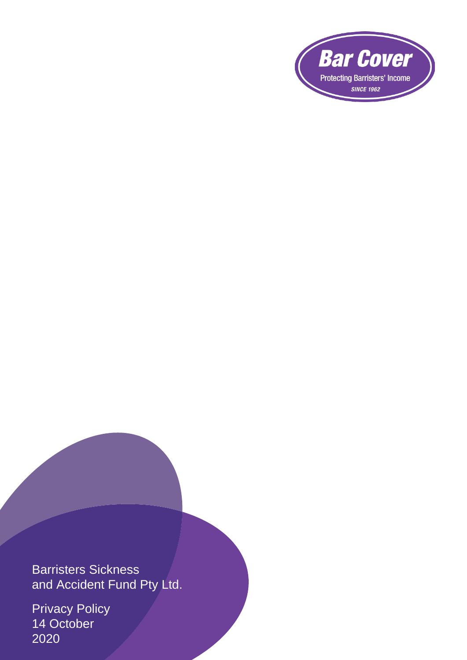

Barristers Sickness and Accident Fund Pty Ltd.

Privacy Policy 14 October 2020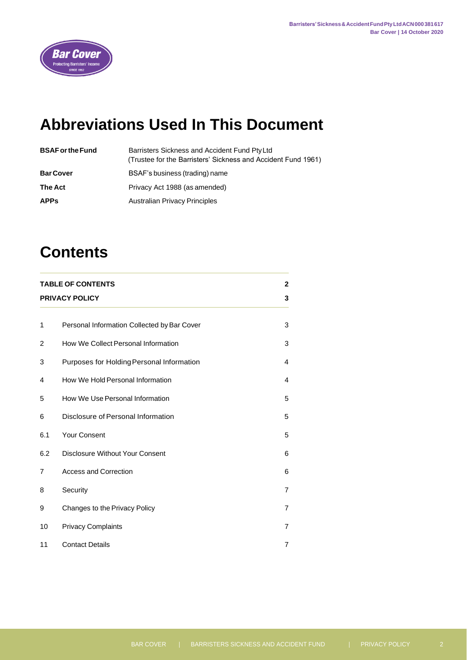

# **Abbreviations Used In This Document**

| <b>BSAF or the Fund</b> | Barristers Sickness and Accident Fund PtyLtd<br>(Trustee for the Barristers' Sickness and Accident Fund 1961) |
|-------------------------|---------------------------------------------------------------------------------------------------------------|
| <b>Bar Cover</b>        | BSAF's business (trading) name                                                                                |
| <b>The Act</b>          | Privacy Act 1988 (as amended)                                                                                 |
| <b>APPs</b>             | <b>Australian Privacy Principles</b>                                                                          |
|                         |                                                                                                               |

# **Contents**

| <b>TABLE OF CONTENTS</b><br><b>PRIVACY POLICY</b> |                                             |                |
|---------------------------------------------------|---------------------------------------------|----------------|
| 1                                                 | Personal Information Collected by Bar Cover | 3              |
| 2                                                 | How We Collect Personal Information         | 3              |
| 3                                                 | Purposes for Holding Personal Information   | 4              |
| 4                                                 | How We Hold Personal Information            | 4              |
| 5                                                 | How We Use Personal Information             | 5              |
| 6                                                 | Disclosure of Personal Information          | 5              |
| 6.1                                               | <b>Your Consent</b>                         | 5              |
| 6.2                                               | <b>Disclosure Without Your Consent</b>      | 6              |
| 7                                                 | <b>Access and Correction</b>                | 6              |
| 8                                                 | Security                                    | $\overline{7}$ |
| 9                                                 | Changes to the Privacy Policy               | $\overline{7}$ |
| 10                                                | <b>Privacy Complaints</b>                   | $\overline{7}$ |
| 11                                                | <b>Contact Details</b>                      | 7              |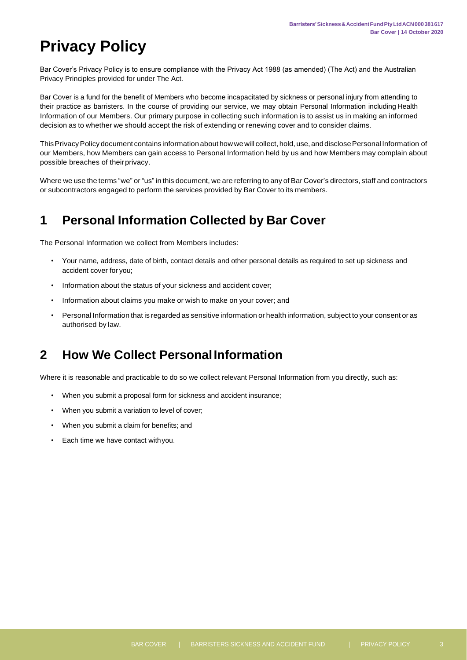# <span id="page-2-0"></span>**Privacy Policy**

Bar Cover's Privacy Policy is to ensure compliance with the Privacy Act 1988 (as amended) (The Act) and the Australian Privacy Principles provided for under The Act.

Bar Cover is a fund for the benefit of Members who become incapacitated by sickness or personal injury from attending to their practice as barristers. In the course of providing our service, we may obtain Personal Information including Health Information of our Members. Our primary purpose in collecting such information is to assist us in making an informed decision as to whether we should accept the risk of extending or renewing cover and to consider claims.

This Privacy Policy document contains information about how we will collect, hold, use, and disclose Personal Information of our Members, how Members can gain access to Personal Information held by us and how Members may complain about possible breaches of theirprivacy.

Where we use the terms "we" or "us" in this document, we are referring to any of Bar Cover's directors, staff and contractors or subcontractors engaged to perform the services provided by Bar Cover to its members.

# <span id="page-2-1"></span>**1 Personal Information Collected by Bar Cover**

The Personal Information we collect from Members includes:

- Your name, address, date of birth, contact details and other personal details as required to set up sickness and accident cover for you;
- Information about the status of your sickness and accident cover;
- Information about claims you make or wish to make on your cover; and
- Personal Information that is regarded as sensitive information or health information, subject to your consent or as authorised by law.

## <span id="page-2-2"></span>**2 How We Collect PersonalInformation**

Where it is reasonable and practicable to do so we collect relevant Personal Information from you directly, such as:

- When you submit a proposal form for sickness and accident insurance;
- When you submit a variation to level of cover;
- When you submit a claim for benefits; and
- Each time we have contact withyou.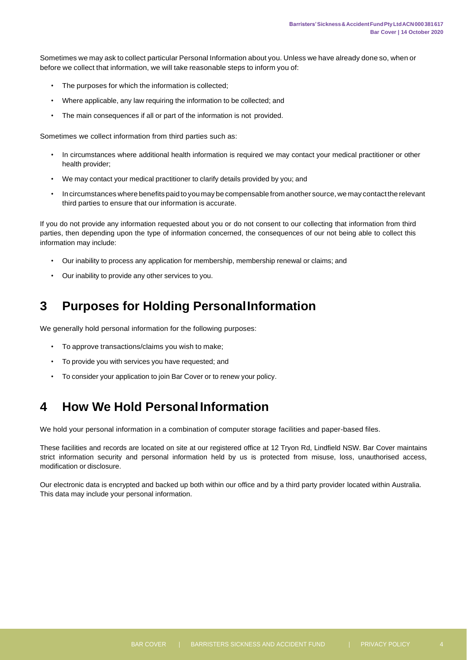Sometimes we may ask to collect particular Personal Information about you. Unless we have already done so, when or before we collect that information, we will take reasonable steps to inform you of:

- The purposes for which the information is collected;
- Where applicable, any law requiring the information to be collected; and
- The main consequences if all or part of the information is not provided.

Sometimes we collect information from third parties such as:

- In circumstances where additional health information is required we may contact your medical practitioner or other health provider;
- We may contact your medical practitioner to clarify details provided by you; and
- Incircumstances where benefits paid to youmay be compensable from another source, we may contact the relevant third parties to ensure that our information is accurate.

If you do not provide any information requested about you or do not consent to our collecting that information from third parties, then depending upon the type of information concerned, the consequences of our not being able to collect this information may include:

- Our inability to process any application for membership, membership renewal or claims; and
- Our inability to provide any other services to you.

## <span id="page-3-0"></span>**3 Purposes for Holding PersonalInformation**

We generally hold personal information for the following purposes:

- To approve transactions/claims you wish to make;
- To provide you with services you have requested; and
- To consider your application to join Bar Cover or to renew your policy.

## <span id="page-3-1"></span>**4 How We Hold PersonalInformation**

We hold your personal information in a combination of computer storage facilities and paper-based files.

These facilities and records are located on site at our registered office at 12 Tryon Rd, Lindfield NSW. Bar Cover maintains strict information security and personal information held by us is protected from misuse, loss, unauthorised access, modification or disclosure.

Our electronic data is encrypted and backed up both within our office and by a third party provider located within Australia. This data may include your personal information.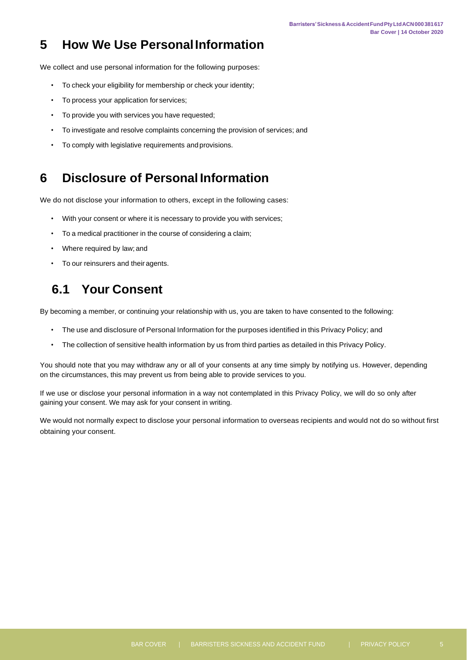# <span id="page-4-0"></span>**5 How We Use PersonalInformation**

We collect and use personal information for the following purposes:

- To check your eligibility for membership or check your identity;
- To process your application for services;
- To provide you with services you have requested;
- To investigate and resolve complaints concerning the provision of services; and
- To comply with legislative requirements and provisions.

#### <span id="page-4-1"></span>**6 Disclosure of Personal Information**

We do not disclose your information to others, except in the following cases:

- With your consent or where it is necessary to provide you with services;
- To a medical practitioner in the course of considering a claim;
- Where required by law; and
- To our reinsurers and their agents.

# **6.1 Your Consent**

<span id="page-4-2"></span>By becoming a member, or continuing your relationship with us, you are taken to have consented to the following:

- The use and disclosure of Personal Information for the purposes identified in this Privacy Policy; and
- The collection of sensitive health information by us from third parties as detailed in this Privacy Policy.

You should note that you may withdraw any or all of your consents at any time simply by notifying us. However, depending on the circumstances, this may prevent us from being able to provide services to you.

If we use or disclose your personal information in a way not contemplated in this Privacy Policy, we will do so only after gaining your consent. We may ask for your consent in writing.

We would not normally expect to disclose your personal information to overseas recipients and would not do so without first obtaining your consent.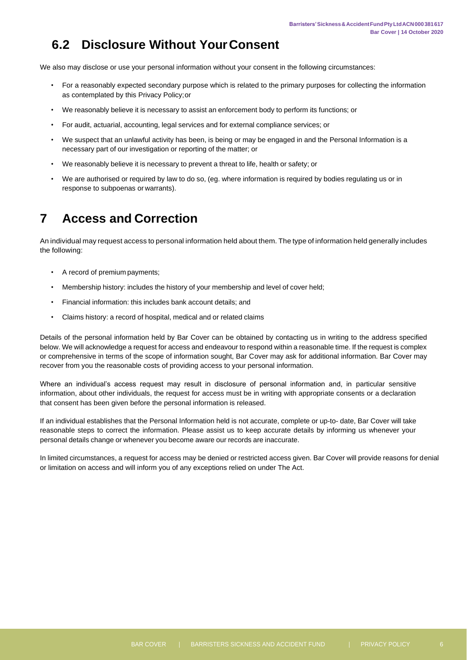## **6.2 Disclosure Without YourConsent**

<span id="page-5-0"></span>We also may disclose or use your personal information without your consent in the following circumstances:

- For a reasonably expected secondary purpose which is related to the primary purposes for collecting the information as contemplated by this Privacy Policy;or
- We reasonably believe it is necessary to assist an enforcement body to perform its functions; or
- For audit, actuarial, accounting, legal services and for external compliance services; or
- We suspect that an unlawful activity has been, is being or may be engaged in and the Personal Information is a necessary part of our investigation or reporting of the matter; or
- We reasonably believe it is necessary to prevent a threat to life, health or safety; or
- We are authorised or required by law to do so, (eg. where information is required by bodies regulating us or in response to subpoenas or warrants).

## <span id="page-5-1"></span>**7 Access and Correction**

An individual may request access to personal information held about them. The type of information held generally includes the following:

- A record of premium payments;
- Membership history: includes the history of your membership and level of cover held;
- Financial information: this includes bank account details; and
- Claims history: a record of hospital, medical and or related claims

Details of the personal information held by Bar Cover can be obtained by contacting us in writing to the address specified below. We will acknowledge a request for access and endeavour to respond within a reasonable time. If the request is complex or comprehensive in terms of the scope of information sought, Bar Cover may ask for additional information. Bar Cover may recover from you the reasonable costs of providing access to your personal information.

Where an individual's access request may result in disclosure of personal information and, in particular sensitive information, about other individuals, the request for access must be in writing with appropriate consents or a declaration that consent has been given before the personal information is released.

If an individual establishes that the Personal Information held is not accurate, complete or up-to- date, Bar Cover will take reasonable steps to correct the information. Please assist us to keep accurate details by informing us whenever your personal details change or whenever you become aware our records are inaccurate.

In limited circumstances, a request for access may be denied or restricted access given. Bar Cover will provide reasons for denial or limitation on access and will inform you of any exceptions relied on under The Act.